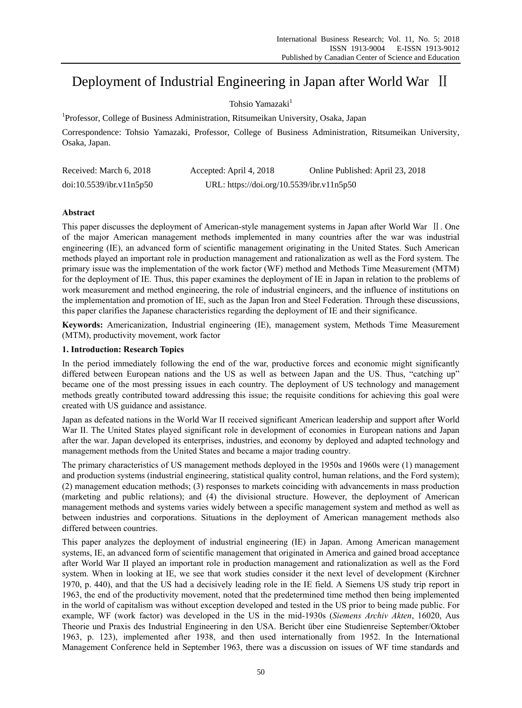# Deployment of Industrial Engineering in Japan after World War Ⅱ

# Tohsio Yamazaki<sup>1</sup>

<sup>1</sup>Professor, College of Business Administration, Ritsumeikan University, Osaka, Japan

Correspondence: Tohsio Yamazaki, Professor, College of Business Administration, Ritsumeikan University, Osaka, Japan.

| Received: March 6, 2018  | Accepted: April 4, 2018                   | Online Published: April 23, 2018 |
|--------------------------|-------------------------------------------|----------------------------------|
| doi:10.5539/ibr.v11n5p50 | URL: https://doi.org/10.5539/ibr.v11n5p50 |                                  |

# **Abstract**

This paper discusses the deployment of American-style management systems in Japan after World War Ⅱ. One of the major American management methods implemented in many countries after the war was industrial engineering (IE), an advanced form of scientific management originating in the United States. Such American methods played an important role in production management and rationalization as well as the Ford system. The primary issue was the implementation of the work factor (WF) method and Methods Time Measurement (MTM) for the deployment of IE. Thus, this paper examines the deployment of IE in Japan in relation to the problems of work measurement and method engineering, the role of industrial engineers, and the influence of institutions on the implementation and promotion of IE, such as the Japan Iron and Steel Federation. Through these discussions, this paper clarifies the Japanese characteristics regarding the deployment of IE and their significance.

**Keywords:** Americanization, Industrial engineering (IE), management system, Methods Time Measurement (MTM), productivity movement, work factor

# **1. Introduction: Research Topics**

In the period immediately following the end of the war, productive forces and economic might significantly differed between European nations and the US as well as between Japan and the US. Thus, "catching up" became one of the most pressing issues in each country. The deployment of US technology and management methods greatly contributed toward addressing this issue; the requisite conditions for achieving this goal were created with US guidance and assistance.

Japan as defeated nations in the World War II received significant American leadership and support after World War II. The United States played significant role in development of economies in European nations and Japan after the war. Japan developed its enterprises, industries, and economy by deployed and adapted technology and management methods from the United States and became a major trading country.

The primary characteristics of US management methods deployed in the 1950s and 1960s were (1) management and production systems (industrial engineering, statistical quality control, human relations, and the Ford system); (2) management education methods; (3) responses to markets coinciding with advancements in mass production (marketing and public relations); and (4) the divisional structure. However, the deployment of American management methods and systems varies widely between a specific management system and method as well as between industries and corporations. Situations in the deployment of American management methods also differed between countries.

This paper analyzes the deployment of industrial engineering (IE) in Japan. Among American management systems, IE, an advanced form of scientific management that originated in America and gained broad acceptance after World War II played an important role in production management and rationalization as well as the Ford system. When in looking at IE, we see that work studies consider it the next level of development (Kirchner 1970, p. 440), and that the US had a decisively leading role in the IE field. A Siemens US study trip report in 1963, the end of the productivity movement, noted that the predetermined time method then being implemented in the world of capitalism was without exception developed and tested in the US prior to being made public. For example, WF (work factor) was developed in the US in the mid-1930s (*Siemens Archiv Akten*, 16020, Aus Theorie und Praxis des Industrial Engineering in den USA. Bericht über eine Studienreise September/Oktober 1963, p. 123), implemented after 1938, and then used internationally from 1952. In the International Management Conference held in September 1963, there was a discussion on issues of WF time standards and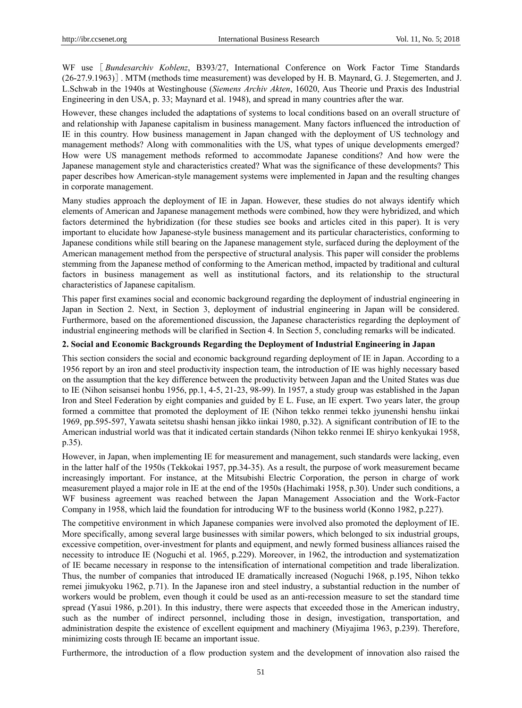WF use [ *Bundesarchiv Koblenz*, B393/27, International Conference on Work Factor Time Standards (26-27.9.1963)]. MTM (methods time measurement) was developed by H. B. Maynard, G. J. Stegemerten, and J. L.Schwab in the 1940s at Westinghouse (*Siemens Archiv Akten*, 16020, Aus Theorie und Praxis des Industrial Engineering in den USA, p. 33; Maynard et al. 1948), and spread in many countries after the war.

However, these changes included the adaptations of systems to local conditions based on an overall structure of and relationship with Japanese capitalism in business management. Many factors influenced the introduction of IE in this country. How business management in Japan changed with the deployment of US technology and management methods? Along with commonalities with the US, what types of unique developments emerged? How were US management methods reformed to accommodate Japanese conditions? And how were the Japanese management style and characteristics created? What was the significance of these developments? This paper describes how American-style management systems were implemented in Japan and the resulting changes in corporate management.

Many studies approach the deployment of IE in Japan. However, these studies do not always identify which elements of American and Japanese management methods were combined, how they were hybridized, and which factors determined the hybridization (for these studies see books and articles cited in this paper). It is very important to elucidate how Japanese-style business management and its particular characteristics, conforming to Japanese conditions while still bearing on the Japanese management style, surfaced during the deployment of the American management method from the perspective of structural analysis. This paper will consider the problems stemming from the Japanese method of conforming to the American method, impacted by traditional and cultural factors in business management as well as institutional factors, and its relationship to the structural characteristics of Japanese capitalism.

This paper first examines social and economic background regarding the deployment of industrial engineering in Japan in Section 2. Next, in Section 3, deployment of industrial engineering in Japan will be considered. Furthermore, based on the aforementioned discussion, the Japanese characteristics regarding the deployment of industrial engineering methods will be clarified in Section 4. In Section 5, concluding remarks will be indicated.

# **2. Social and Economic Backgrounds Regarding the Deployment of Industrial Engineering in Japan**

This section considers the social and economic background regarding deployment of IE in Japan. According to a 1956 report by an iron and steel productivity inspection team, the introduction of IE was highly necessary based on the assumption that the key difference between the productivity between Japan and the United States was due to IE (Nihon seisansei honbu 1956, pp.1, 4-5, 21-23, 98-99). In 1957, a study group was established in the Japan Iron and Steel Federation by eight companies and guided by E L. Fuse, an IE expert. Two years later, the group formed a committee that promoted the deployment of IE (Nihon tekko renmei tekko jyunenshi henshu iinkai 1969, pp.595-597, Yawata seitetsu shashi hensan jikko iinkai 1980, p.32). A significant contribution of IE to the American industrial world was that it indicated certain standards (Nihon tekko renmei IE shiryo kenkyukai 1958, p.35).

However, in Japan, when implementing IE for measurement and management, such standards were lacking, even in the latter half of the 1950s (Tekkokai 1957, pp.34-35). As a result, the purpose of work measurement became increasingly important. For instance, at the Mitsubishi Electric Corporation, the person in charge of work measurement played a major role in IE at the end of the 1950s (Hachimaki 1958, p.30). Under such conditions, a WF business agreement was reached between the Japan Management Association and the Work-Factor Company in 1958, which laid the foundation for introducing WF to the business world (Konno 1982, p.227).

The competitive environment in which Japanese companies were involved also promoted the deployment of IE. More specifically, among several large businesses with similar powers, which belonged to six industrial groups, excessive competition, over-investment for plants and equipment, and newly formed business alliances raised the necessity to introduce IE (Noguchi et al. 1965, p.229). Moreover, in 1962, the introduction and systematization of IE became necessary in response to the intensification of international competition and trade liberalization. Thus, the number of companies that introduced IE dramatically increased (Noguchi 1968, p.195, Nihon tekko remei jimukyoku 1962, p.71). In the Japanese iron and steel industry, a substantial reduction in the number of workers would be problem, even though it could be used as an anti-recession measure to set the standard time spread (Yasui 1986, p.201). In this industry, there were aspects that exceeded those in the American industry, such as the number of indirect personnel, including those in design, investigation, transportation, and administration despite the existence of excellent equipment and machinery (Miyajima 1963, p.239). Therefore, minimizing costs through IE became an important issue.

Furthermore, the introduction of a flow production system and the development of innovation also raised the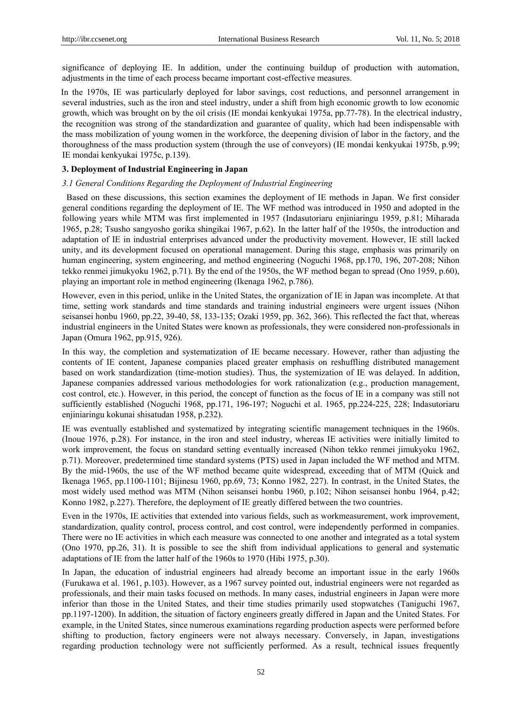significance of deploying IE. In addition, under the continuing buildup of production with automation, adjustments in the time of each process became important cost-effective measures.

In the 1970s, IE was particularly deployed for labor savings, cost reductions, and personnel arrangement in several industries, such as the iron and steel industry, under a shift from high economic growth to low economic growth, which was brought on by the oil crisis (IE mondai kenkyukai 1975a, pp.77-78). In the electrical industry, the recognition was strong of the standardization and guarantee of quality, which had been indispensable with the mass mobilization of young women in the workforce, the deepening division of labor in the factory, and the thoroughness of the mass production system (through the use of conveyors) (IE mondai kenkyukai 1975b, p.99; IE mondai kenkyukai 1975c, p.139).

## **3. Deployment of Industrial Engineering in Japan**

## *3.1 General Conditions Regarding the Deployment of Industrial Engineering*

Based on these discussions, this section examines the deployment of IE methods in Japan. We first consider general conditions regarding the deployment of IE. The WF method was introduced in 1950 and adopted in the following years while MTM was first implemented in 1957 (Indasutoriaru enjiniaringu 1959, p.81; Miharada 1965, p.28; Tsusho sangyosho gorika shingikai 1967, p.62). In the latter half of the 1950s, the introduction and adaptation of IE in industrial enterprises advanced under the productivity movement. However, IE still lacked unity, and its development focused on operational management. During this stage, emphasis was primarily on human engineering, system engineering, and method engineering (Noguchi 1968, pp.170, 196, 207-208; Nihon tekko renmei jimukyoku 1962, p.71). By the end of the 1950s, the WF method began to spread (Ono 1959, p.60), playing an important role in method engineering (Ikenaga 1962, p.786).

However, even in this period, unlike in the United States, the organization of IE in Japan was incomplete. At that time, setting work standards and time standards and training industrial engineers were urgent issues (Nihon seisansei honbu 1960, pp.22, 39-40, 58, 133-135; Ozaki 1959, pp. 362, 366). This reflected the fact that, whereas industrial engineers in the United States were known as professionals, they were considered non-professionals in Japan (Omura 1962, pp.915, 926).

In this way, the completion and systematization of IE became necessary. However, rather than adjusting the contents of IE content, Japanese companies placed greater emphasis on reshuffling distributed management based on work standardization (time-motion studies). Thus, the systemization of IE was delayed. In addition, Japanese companies addressed various methodologies for work rationalization (e.g., production management, cost control, etc.). However, in this period, the concept of function as the focus of IE in a company was still not sufficiently established (Noguchi 1968, pp.171, 196-197; Noguchi et al. 1965, pp.224-225, 228; Indasutoriaru enjiniaringu kokunai shisatudan 1958, p.232).

IE was eventually established and systematized by integrating scientific management techniques in the 1960s. (Inoue 1976, p.28). For instance, in the iron and steel industry, whereas IE activities were initially limited to work improvement, the focus on standard setting eventually increased (Nihon tekko renmei jimukyoku 1962, p.71). Moreover, predetermined time standard systems (PTS) used in Japan included the WF method and MTM. By the mid-1960s, the use of the WF method became quite widespread, exceeding that of MTM (Quick and Ikenaga 1965, pp.1100-1101; Bijinesu 1960, pp.69, 73; Konno 1982, 227). In contrast, in the United States, the most widely used method was MTM (Nihon seisansei honbu 1960, p.102; Nihon seisansei honbu 1964, p.42; Konno 1982, p.227). Therefore, the deployment of IE greatly differed between the two countries.

Even in the 1970s, IE activities that extended into various fields, such as workmeasurement, work improvement, standardization, quality control, process control, and cost control, were independently performed in companies. There were no IE activities in which each measure was connected to one another and integrated as a total system (Ono 1970, pp.26, 31). It is possible to see the shift from individual applications to general and systematic adaptations of IE from the latter half of the 1960s to 1970 (Hibi 1975, p.30).

In Japan, the education of industrial engineers had already become an important issue in the early 1960s (Furukawa et al. 1961, p.103). However, as a 1967 survey pointed out, industrial engineers were not regarded as professionals, and their main tasks focused on methods. In many cases, industrial engineers in Japan were more inferior than those in the United States, and their time studies primarily used stopwatches (Taniguchi 1967, pp.1197-1200). In addition, the situation of factory engineers greatly differed in Japan and the United States. For example, in the United States, since numerous examinations regarding production aspects were performed before shifting to production, factory engineers were not always necessary. Conversely, in Japan, investigations regarding production technology were not sufficiently performed. As a result, technical issues frequently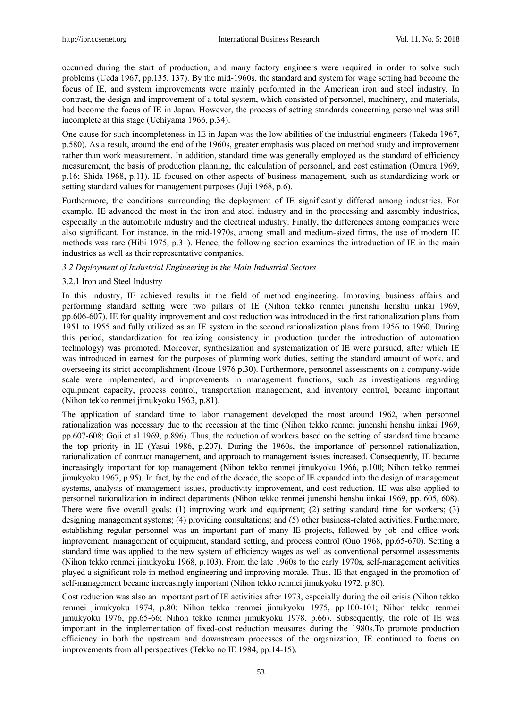occurred during the start of production, and many factory engineers were required in order to solve such problems (Ueda 1967, pp.135, 137). By the mid-1960s, the standard and system for wage setting had become the focus of IE, and system improvements were mainly performed in the American iron and steel industry. In contrast, the design and improvement of a total system, which consisted of personnel, machinery, and materials, had become the focus of IE in Japan. However, the process of setting standards concerning personnel was still incomplete at this stage (Uchiyama 1966, p.34).

One cause for such incompleteness in IE in Japan was the low abilities of the industrial engineers (Takeda 1967, p.580). As a result, around the end of the 1960s, greater emphasis was placed on method study and improvement rather than work measurement. In addition, standard time was generally employed as the standard of efficiency measurement, the basis of production planning, the calculation of personnel, and cost estimation (Omura 1969, p.16; Shida 1968, p.11). IE focused on other aspects of business management, such as standardizing work or setting standard values for management purposes (Juji 1968, p.6).

Furthermore, the conditions surrounding the deployment of IE significantly differed among industries. For example, IE advanced the most in the iron and steel industry and in the processing and assembly industries, especially in the automobile industry and the electrical industry. Finally, the differences among companies were also significant. For instance, in the mid-1970s, among small and medium-sized firms, the use of modern IE methods was rare (Hibi 1975, p.31). Hence, the following section examines the introduction of IE in the main industries as well as their representative companies.

## *3.2 Deployment of Industrial Engineering in the Main Industrial Sectors*

#### 3.2.1 Iron and Steel Industry

In this industry, IE achieved results in the field of method engineering. Improving business affairs and performing standard setting were two pillars of IE (Nihon tekko renmei junenshi henshu iinkai 1969, pp.606-607). IE for quality improvement and cost reduction was introduced in the first rationalization plans from 1951 to 1955 and fully utilized as an IE system in the second rationalization plans from 1956 to 1960. During this period, standardization for realizing consistency in production (under the introduction of automation technology) was promoted. Moreover, synthesization and systematization of IE were pursued, after which IE was introduced in earnest for the purposes of planning work duties, setting the standard amount of work, and overseeing its strict accomplishment (Inoue 1976 p.30). Furthermore, personnel assessments on a company-wide scale were implemented, and improvements in management functions, such as investigations regarding equipment capacity, process control, transportation management, and inventory control, became important (Nihon tekko renmei jimukyoku 1963, p.81).

The application of standard time to labor management developed the most around 1962, when personnel rationalization was necessary due to the recession at the time (Nihon tekko renmei junenshi henshu iinkai 1969, pp.607-608; Goji et al 1969, p.896). Thus, the reduction of workers based on the setting of standard time became the top priority in IE (Yasui 1986, p.207). During the 1960s, the importance of personnel rationalization, rationalization of contract management, and approach to management issues increased. Consequently, IE became increasingly important for top management (Nihon tekko renmei jimukyoku 1966, p.100; Nihon tekko renmei jimukyoku 1967, p.95). In fact, by the end of the decade, the scope of IE expanded into the design of management systems, analysis of management issues, productivity improvement, and cost reduction. IE was also applied to personnel rationalization in indirect departments (Nihon tekko renmei junenshi henshu iinkai 1969, pp. 605, 608). There were five overall goals: (1) improving work and equipment; (2) setting standard time for workers; (3) designing management systems; (4) providing consultations; and (5) other business-related activities. Furthermore, establishing regular personnel was an important part of many IE projects, followed by job and office work improvement, management of equipment, standard setting, and process control (Ono 1968, pp.65-670). Setting a standard time was applied to the new system of efficiency wages as well as conventional personnel assessments (Nihon tekko renmei jimukyoku 1968, p.103). From the late 1960s to the early 1970s, self-management activities played a significant role in method engineering and improving morale. Thus, IE that engaged in the promotion of self-management became increasingly important (Nihon tekko renmei jimukyoku 1972, p.80).

Cost reduction was also an important part of IE activities after 1973, especially during the oil crisis (Nihon tekko renmei jimukyoku 1974, p.80: Nihon tekko trenmei jimukyoku 1975, pp.100-101; Nihon tekko renmei jimukyoku 1976, pp.65-66; Nihon tekko renmei jimukyoku 1978, p.66). Subsequently, the role of IE was important in the implementation of fixed-cost reduction measures during the 1980s.To promote production efficiency in both the upstream and downstream processes of the organization, IE continued to focus on improvements from all perspectives (Tekko no IE 1984, pp.14-15).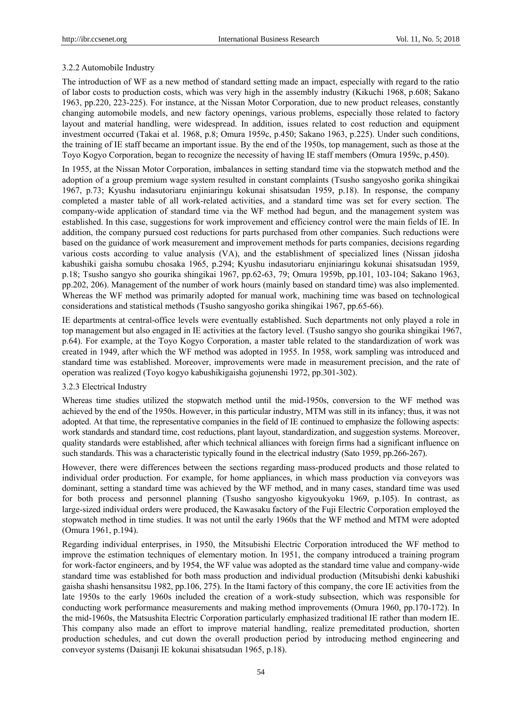# 3.2.2 Automobile Industry

The introduction of WF as a new method of standard setting made an impact, especially with regard to the ratio of labor costs to production costs, which was very high in the assembly industry (Kikuchi 1968, p.608; Sakano 1963, pp.220, 223-225). For instance, at the Nissan Motor Corporation, due to new product releases, constantly changing automobile models, and new factory openings, various problems, especially those related to factory layout and material handling, were widespread. In addition, issues related to cost reduction and equipment investment occurred (Takai et al. 1968, p.8; Omura 1959c, p.450; Sakano 1963, p.225). Under such conditions, the training of IE staff became an important issue. By the end of the 1950s, top management, such as those at the Toyo Kogyo Corporation, began to recognize the necessity of having IE staff members (Omura 1959c, p.450).

In 1955, at the Nissan Motor Corporation, imbalances in setting standard time via the stopwatch method and the adoption of a group premium wage system resulted in constant complaints (Tsusho sangyosho gorika shingikai 1967, p.73; Kyushu indasutoriaru enjiniaringu kokunai shisatsudan 1959, p.18). In response, the company completed a master table of all work-related activities, and a standard time was set for every section. The company-wide application of standard time via the WF method had begun, and the management system was established. In this case, suggestions for work improvement and efficiency control were the main fields of IE. In addition, the company pursued cost reductions for parts purchased from other companies. Such reductions were based on the guidance of work measurement and improvement methods for parts companies, decisions regarding various costs according to value analysis (VA), and the establishment of specialized lines (Nissan jidosha kabushiki gaisha somubu chosaka 1965, p.294; Kyushu indasutoriaru enjiniaringu kokunai shisatsudan 1959, p.18; Tsusho sangyo sho gourika shingikai 1967, pp.62-63, 79; Omura 1959b, pp.101, 103-104; Sakano 1963, pp.202, 206). Management of the number of work hours (mainly based on standard time) was also implemented. Whereas the WF method was primarily adopted for manual work, machining time was based on technological considerations and statistical methods (Tsusho sangyosho gorika shingikai 1967, pp.65-66).

IE departments at central-office levels were eventually established. Such departments not only played a role in top management but also engaged in IE activities at the factory level. (Tsusho sangyo sho gourika shingikai 1967, p.64). For example, at the Toyo Kogyo Corporation, a master table related to the standardization of work was created in 1949, after which the WF method was adopted in 1955. In 1958, work sampling was introduced and standard time was established. Moreover, improvements were made in measurement precision, and the rate of operation was realized (Toyo kogyo kabushikigaisha gojunenshi 1972, pp.301-302).

# 3.2.3 Electrical Industry

Whereas time studies utilized the stopwatch method until the mid-1950s, conversion to the WF method was achieved by the end of the 1950s. However, in this particular industry, MTM was still in its infancy; thus, it was not adopted. At that time, the representative companies in the field of IE continued to emphasize the following aspects: work standards and standard time, cost reductions, plant layout, standardization, and suggestion systems. Moreover, quality standards were established, after which technical alliances with foreign firms had a significant influence on such standards. This was a characteristic typically found in the electrical industry (Sato 1959, pp.266-267).

However, there were differences between the sections regarding mass-produced products and those related to individual order production. For example, for home appliances, in which mass production via conveyors was dominant, setting a standard time was achieved by the WF method, and in many cases, standard time was used for both process and personnel planning (Tsusho sangyosho kigyoukyoku 1969, p.105). In contrast, as large-sized individual orders were produced, the Kawasaku factory of the Fuji Electric Corporation employed the stopwatch method in time studies. It was not until the early 1960s that the WF method and MTM were adopted (Omura 1961, p.194).

Regarding individual enterprises, in 1950, the Mitsubishi Electric Corporation introduced the WF method to improve the estimation techniques of elementary motion. In 1951, the company introduced a training program for work-factor engineers, and by 1954, the WF value was adopted as the standard time value and company-wide standard time was established for both mass production and individual production (Mitsubishi denki kabushiki gaisha shashi hensansitsu 1982, pp.106, 275). In the Itami factory of this company, the core IE activities from the late 1950s to the early 1960s included the creation of a work-study subsection, which was responsible for conducting work performance measurements and making method improvements (Omura 1960, pp.170-172). In the mid-1960s, the Matsushita Electric Corporation particularly emphasized traditional IE rather than modern IE. This company also made an effort to improve material handling, realize premeditated production, shorten production schedules, and cut down the overall production period by introducing method engineering and conveyor systems (Daisanji IE kokunai shisatsudan 1965, p.18).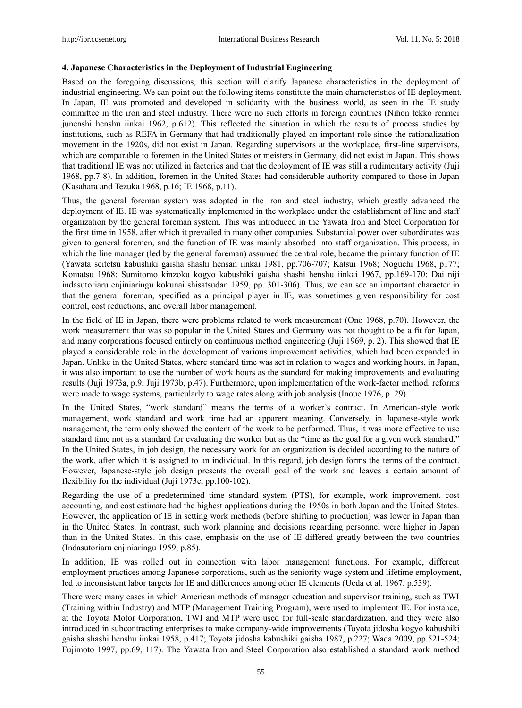## **4. Japanese Characteristics in the Deployment of Industrial Engineering**

Based on the foregoing discussions, this section will clarify Japanese characteristics in the deployment of industrial engineering. We can point out the following items constitute the main characteristics of IE deployment. In Japan, IE was promoted and developed in solidarity with the business world, as seen in the IE study committee in the iron and steel industry. There were no such efforts in foreign countries (Nihon tekko renmei junenshi henshu iinkai 1962, p.612). This reflected the situation in which the results of process studies by institutions, such as REFA in Germany that had traditionally played an important role since the rationalization movement in the 1920s, did not exist in Japan. Regarding supervisors at the workplace, first-line supervisors, which are comparable to foremen in the United States or meisters in Germany, did not exist in Japan. This shows that traditional IE was not utilized in factories and that the deployment of IE was still a rudimentary activity (Juji 1968, pp.7-8). In addition, foremen in the United States had considerable authority compared to those in Japan (Kasahara and Tezuka 1968, p.16; IE 1968, p.11).

Thus, the general foreman system was adopted in the iron and steel industry, which greatly advanced the deployment of IE. IE was systematically implemented in the workplace under the establishment of line and staff organization by the general foreman system. This was introduced in the Yawata Iron and Steel Corporation for the first time in 1958, after which it prevailed in many other companies. Substantial power over subordinates was given to general foremen, and the function of IE was mainly absorbed into staff organization. This process, in which the line manager (led by the general foreman) assumed the central role, became the primary function of IE (Yawata seitetsu kabushiki gaisha shashi hensan iinkai 1981, pp.706-707; Katsui 1968; Noguchi 1968, p177; Komatsu 1968; Sumitomo kinzoku kogyo kabushiki gaisha shashi henshu iinkai 1967, pp.169-170; Dai niji indasutoriaru enjiniaringu kokunai shisatsudan 1959, pp. 301-306). Thus, we can see an important character in that the general foreman, specified as a principal player in IE, was sometimes given responsibility for cost control, cost reductions, and overall labor management.

In the field of IE in Japan, there were problems related to work measurement (Ono 1968, p.70). However, the work measurement that was so popular in the United States and Germany was not thought to be a fit for Japan, and many corporations focused entirely on continuous method engineering (Juji 1969, p. 2). This showed that IE played a considerable role in the development of various improvement activities, which had been expanded in Japan. Unlike in the United States, where standard time was set in relation to wages and working hours, in Japan, it was also important to use the number of work hours as the standard for making improvements and evaluating results (Juji 1973a, p.9; Juji 1973b, p.47). Furthermore, upon implementation of the work-factor method, reforms were made to wage systems, particularly to wage rates along with job analysis (Inoue 1976, p. 29).

In the United States, "work standard" means the terms of a worker's contract. In American-style work management, work standard and work time had an apparent meaning. Conversely, in Japanese-style work management, the term only showed the content of the work to be performed. Thus, it was more effective to use standard time not as a standard for evaluating the worker but as the "time as the goal for a given work standard." In the United States, in job design, the necessary work for an organization is decided according to the nature of the work, after which it is assigned to an individual. In this regard, job design forms the terms of the contract. However, Japanese-style job design presents the overall goal of the work and leaves a certain amount of flexibility for the individual (Juji 1973c, pp.100-102).

Regarding the use of a predetermined time standard system (PTS), for example, work improvement, cost accounting, and cost estimate had the highest applications during the 1950s in both Japan and the United States. However, the application of IE in setting work methods (before shifting to production) was lower in Japan than in the United States. In contrast, such work planning and decisions regarding personnel were higher in Japan than in the United States. In this case, emphasis on the use of IE differed greatly between the two countries (Indasutoriaru enjiniaringu 1959, p.85).

In addition, IE was rolled out in connection with labor management functions. For example, different employment practices among Japanese corporations, such as the seniority wage system and lifetime employment, led to inconsistent labor targets for IE and differences among other IE elements (Ueda et al. 1967, p.539).

There were many cases in which American methods of manager education and supervisor training, such as TWI (Training within Industry) and MTP (Management Training Program), were used to implement IE. For instance, at the Toyota Motor Corporation, TWI and MTP were used for full-scale standardization, and they were also introduced in subcontracting enterprises to make company-wide improvements (Toyota jidosha kogyo kabushiki gaisha shashi henshu iinkai 1958, p.417; Toyota jidosha kabushiki gaisha 1987, p.227; Wada 2009, pp.521-524; Fujimoto 1997, pp.69, 117). The Yawata Iron and Steel Corporation also established a standard work method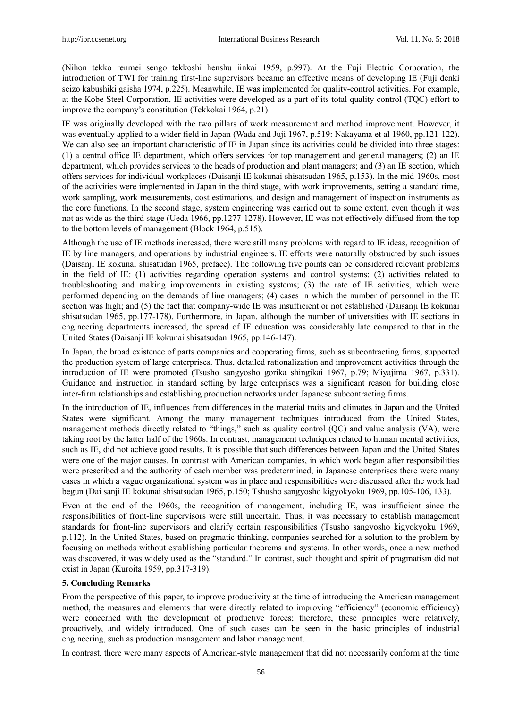(Nihon tekko renmei sengo tekkoshi henshu iinkai 1959, p.997). At the Fuji Electric Corporation, the introduction of TWI for training first-line supervisors became an effective means of developing IE (Fuji denki seizo kabushiki gaisha 1974, p.225). Meanwhile, IE was implemented for quality-control activities. For example, at the Kobe Steel Corporation, IE activities were developed as a part of its total quality control (TQC) effort to improve the company's constitution (Tekkokai 1964, p.21).

IE was originally developed with the two pillars of work measurement and method improvement. However, it was eventually applied to a wider field in Japan (Wada and Juji 1967, p.519: Nakayama et al 1960, pp.121-122). We can also see an important characteristic of IE in Japan since its activities could be divided into three stages: (1) a central office IE department, which offers services for top management and general managers; (2) an IE department, which provides services to the heads of production and plant managers; and (3) an IE section, which offers services for individual workplaces (Daisanji IE kokunai shisatsudan 1965, p.153). In the mid-1960s, most of the activities were implemented in Japan in the third stage, with work improvements, setting a standard time, work sampling, work measurements, cost estimations, and design and management of inspection instruments as the core functions. In the second stage, system engineering was carried out to some extent, even though it was not as wide as the third stage (Ueda 1966, pp.1277-1278). However, IE was not effectively diffused from the top to the bottom levels of management (Block 1964, p.515).

Although the use of IE methods increased, there were still many problems with regard to IE ideas, recognition of IE by line managers, and operations by industrial engineers. IE efforts were naturally obstructed by such issues (Daisanji IE kokunai shisatudan 1965, preface). The following five points can be considered relevant problems in the field of IE: (1) activities regarding operation systems and control systems; (2) activities related to troubleshooting and making improvements in existing systems; (3) the rate of IE activities, which were performed depending on the demands of line managers; (4) cases in which the number of personnel in the IE section was high; and (5) the fact that company-wide IE was insufficient or not established (Daisanji IE kokunai shisatsudan 1965, pp.177-178). Furthermore, in Japan, although the number of universities with IE sections in engineering departments increased, the spread of IE education was considerably late compared to that in the United States (Daisanji IE kokunai shisatsudan 1965, pp.146-147).

In Japan, the broad existence of parts companies and cooperating firms, such as subcontracting firms, supported the production system of large enterprises. Thus, detailed rationalization and improvement activities through the introduction of IE were promoted (Tsusho sangyosho gorika shingikai 1967, p.79; Miyajima 1967, p.331). Guidance and instruction in standard setting by large enterprises was a significant reason for building close inter-firm relationships and establishing production networks under Japanese subcontracting firms.

In the introduction of IE, influences from differences in the material traits and climates in Japan and the United States were significant. Among the many management techniques introduced from the United States, management methods directly related to "things," such as quality control (QC) and value analysis (VA), were taking root by the latter half of the 1960s. In contrast, management techniques related to human mental activities, such as IE, did not achieve good results. It is possible that such differences between Japan and the United States were one of the major causes. In contrast with American companies, in which work began after responsibilities were prescribed and the authority of each member was predetermined, in Japanese enterprises there were many cases in which a vague organizational system was in place and responsibilities were discussed after the work had begun (Dai sanji IE kokunai shisatsudan 1965, p.150; Tshusho sangyosho kigyokyoku 1969, pp.105-106, 133).

Even at the end of the 1960s, the recognition of management, including IE, was insufficient since the responsibilities of front-line supervisors were still uncertain. Thus, it was necessary to establish management standards for front-line supervisors and clarify certain responsibilities (Tsusho sangyosho kigyokyoku 1969, p.112). In the United States, based on pragmatic thinking, companies searched for a solution to the problem by focusing on methods without establishing particular theorems and systems. In other words, once a new method was discovered, it was widely used as the "standard." In contrast, such thought and spirit of pragmatism did not exist in Japan (Kuroita 1959, pp.317-319).

## **5. Concluding Remarks**

From the perspective of this paper, to improve productivity at the time of introducing the American management method, the measures and elements that were directly related to improving "efficiency" (economic efficiency) were concerned with the development of productive forces; therefore, these principles were relatively, proactively, and widely introduced. One of such cases can be seen in the basic principles of industrial engineering, such as production management and labor management.

In contrast, there were many aspects of American-style management that did not necessarily conform at the time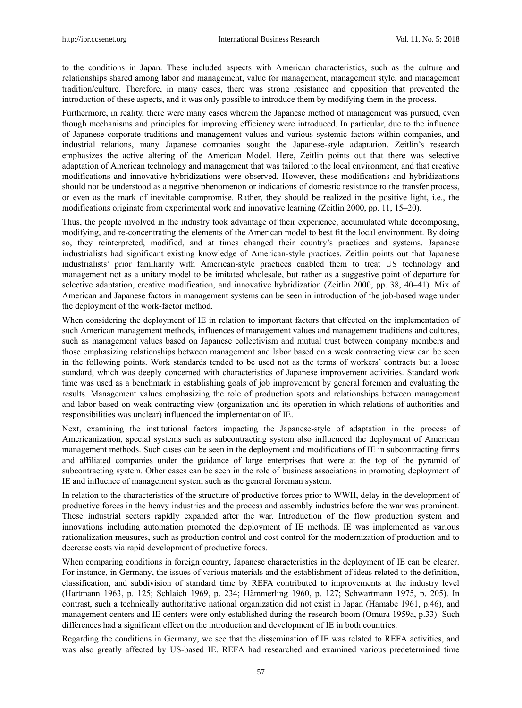to the conditions in Japan. These included aspects with American characteristics, such as the culture and relationships shared among labor and management, value for management, management style, and management tradition/culture. Therefore, in many cases, there was strong resistance and opposition that prevented the introduction of these aspects, and it was only possible to introduce them by modifying them in the process.

Furthermore, in reality, there were many cases wherein the Japanese method of management was pursued, even though mechanisms and principles for improving efficiency were introduced. In particular, due to the influence of Japanese corporate traditions and management values and various systemic factors within companies, and industrial relations, many Japanese companies sought the Japanese-style adaptation. Zeitlin's research emphasizes the active altering of the American Model. Here, Zeitlin points out that there was selective adaptation of American technology and management that was tailored to the local environment, and that creative modifications and innovative hybridizations were observed. However, these modifications and hybridizations should not be understood as a negative phenomenon or indications of domestic resistance to the transfer process, or even as the mark of inevitable compromise. Rather, they should be realized in the positive light, i.e., the modifications originate from experimental work and innovative learning (Zeitlin 2000, pp. 11, 15–20).

Thus, the people involved in the industry took advantage of their experience, accumulated while decomposing, modifying, and re-concentrating the elements of the American model to best fit the local environment. By doing so, they reinterpreted, modified, and at times changed their country's practices and systems. Japanese industrialists had significant existing knowledge of American-style practices. Zeitlin points out that Japanese industrialists' prior familiarity with American-style practices enabled them to treat US technology and management not as a unitary model to be imitated wholesale, but rather as a suggestive point of departure for selective adaptation, creative modification, and innovative hybridization (Zeitlin 2000, pp. 38, 40–41). Mix of American and Japanese factors in management systems can be seen in introduction of the job-based wage under the deployment of the work-factor method.

When considering the deployment of IE in relation to important factors that effected on the implementation of such American management methods, influences of management values and management traditions and cultures, such as management values based on Japanese collectivism and mutual trust between company members and those emphasizing relationships between management and labor based on a weak contracting view can be seen in the following points. Work standards tended to be used not as the terms of workers' contracts but a loose standard, which was deeply concerned with characteristics of Japanese improvement activities. Standard work time was used as a benchmark in establishing goals of job improvement by general foremen and evaluating the results. Management values emphasizing the role of production spots and relationships between management and labor based on weak contracting view (organization and its operation in which relations of authorities and responsibilities was unclear) influenced the implementation of IE.

Next, examining the institutional factors impacting the Japanese-style of adaptation in the process of Americanization, special systems such as subcontracting system also influenced the deployment of American management methods. Such cases can be seen in the deployment and modifications of IE in subcontracting firms and affiliated companies under the guidance of large enterprises that were at the top of the pyramid of subcontracting system. Other cases can be seen in the role of business associations in promoting deployment of IE and influence of management system such as the general foreman system.

In relation to the characteristics of the structure of productive forces prior to WWII, delay in the development of productive forces in the heavy industries and the process and assembly industries before the war was prominent. These industrial sectors rapidly expanded after the war. Introduction of the flow production system and innovations including automation promoted the deployment of IE methods. IE was implemented as various rationalization measures, such as production control and cost control for the modernization of production and to decrease costs via rapid development of productive forces.

When comparing conditions in foreign country, Japanese characteristics in the deployment of IE can be clearer. For instance, in Germany, the issues of various materials and the establishment of ideas related to the definition, classification, and subdivision of standard time by REFA contributed to improvements at the industry level (Hartmann 1963, p. 125; Schlaich 1969, p. 234; Hämmerling 1960, p. 127; Schwartmann 1975, p. 205). In contrast, such a technically authoritative national organization did not exist in Japan (Hamabe 1961, p.46), and management centers and IE centers were only established during the research boom (Omura 1959a, p.33). Such differences had a significant effect on the introduction and development of IE in both countries.

Regarding the conditions in Germany, we see that the dissemination of IE was related to REFA activities, and was also greatly affected by US-based IE. REFA had researched and examined various predetermined time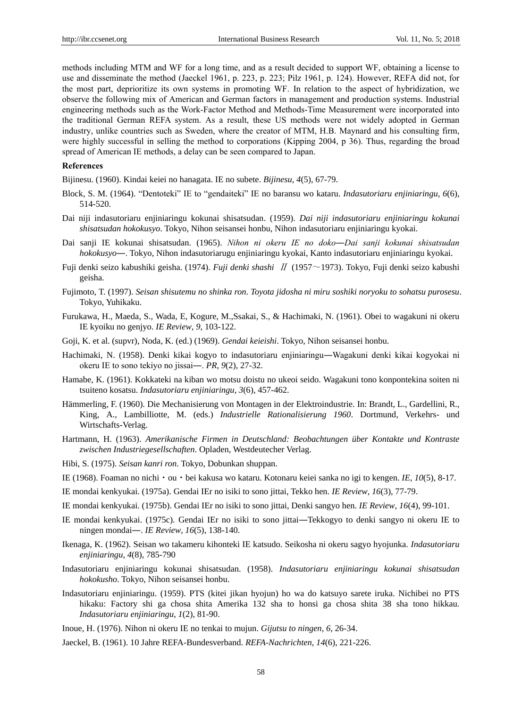methods including MTM and WF for a long time, and as a result decided to support WF, obtaining a license to use and disseminate the method (Jaeckel 1961, p. 223, p. 223; Pilz 1961, p. 124). However, REFA did not, for the most part, deprioritize its own systems in promoting WF. In relation to the aspect of hybridization, we observe the following mix of American and German factors in management and production systems. Industrial engineering methods such as the Work-Factor Method and Methods-Time Measurement were incorporated into the traditional German REFA system. As a result, these US methods were not widely adopted in German industry, unlike countries such as Sweden, where the creator of MTM, H.B. Maynard and his consulting firm, were highly successful in selling the method to corporations (Kipping 2004, p 36). Thus, regarding the broad spread of American IE methods, a delay can be seen compared to Japan.

## **References**

Bijinesu. (1960). Kindai keiei no hanagata. IE no subete. *Bijinesu*, *4*(5), 67-79.

- Block, S. M. (1964). "Dentoteki" IE to "gendaiteki" IE no baransu wo kataru. *Indasutoriaru enjiniaringu*, *6*(6), 514-520.
- Dai niji indasutoriaru enjiniaringu kokunai shisatsudan. (1959). *Dai niji indasutoriaru enjiniaringu kokunai shisatsudan hokokusyo*. Tokyo, Nihon seisansei honbu, Nihon indasutoriaru enjiniaringu kyokai.
- Dai sanji IE kokunai shisatsudan. (1965). *Nihon ni okeru IE no doko―Dai sanji kokunai shisatsudan hokokusyo*―. Tokyo, Nihon indasutoriarugu enjiniaringu kyokai, Kanto indasutoriaru enjiniaringu kyokai.
- Fuji denki seizo kabushiki geisha. (1974). *Fuji denki shashi* Ⅱ (1957~1973). Tokyo, Fuji denki seizo kabushi geisha.
- Fujimoto, T. (1997). *Seisan shisutemu no shinka ron. Toyota jidosha ni miru soshiki noryoku to sohatsu purosesu*. Tokyo, Yuhikaku.
- Furukawa, H., Maeda, S., Wada, E, Kogure, M.,Ssakai, S., & Hachimaki, N. (1961). Obei to wagakuni ni okeru IE kyoiku no genjyo. *IE Review*, *9*, 103-122.
- Goji, K. et al. (supvr), Noda, K. (ed.) (1969). *Gendai keieishi*. Tokyo, Nihon seisansei honbu.
- Hachimaki, N. (1958). Denki kikai kogyo to indasutoriaru enjiniaringu―Wagakuni denki kikai kogyokai ni okeru IE to sono tekiyo no jissai―. *PR*, *9*(2), 27-32.
- Hamabe, K. (1961). Kokkateki na kiban wo motsu doistu no ukeoi seido. Wagakuni tono konpontekina soiten ni tsuiteno kosatsu. *Indasutoriaru enjiniaringu*, *3*(6), 457-462.
- Hämmerling, F. (1960). Die Mechanisierung von Montagen in der Elektroindustrie. In: Brandt, L., Gardellini, R., King, A., Lambilliotte, M. (eds.) *Industrielle Rationalisierung 1960*. Dortmund, Verkehrs- und Wirtschafts-Verlag.
- Hartmann, H. (1963). *Amerikanische Firmen in Deutschland: Beobachtungen über Kontakte und Kontraste zwischen Industriegesellschaften*. Opladen, Westdeutecher Verlag.
- Hibi, S. (1975). *Seisan kanri ron*. Tokyo, Dobunkan shuppan.
- IE (1968). Foaman no nichi・ou・bei kakusa wo kataru. Kotonaru keiei sanka no igi to kengen. *IE*, *10*(5), 8-17.
- IE mondai kenkyukai. (1975a). Gendai IEr no isiki to sono jittai, Tekko hen. *IE Review*, *16*(3), 77-79.
- IE mondai kenkyukai. (1975b). Gendai IEr no isiki to sono jittai, Denki sangyo hen. *IE Review*, *16*(4), 99-101.
- IE mondai kenkyukai. (1975c). Gendai IEr no isiki to sono jittai―Tekkogyo to denki sangyo ni okeru IE to ningen mondai―. *IE Review*, *16*(5), 138-140.
- Ikenaga, K. (1962). Seisan wo takameru kihonteki IE katsudo. Seikosha ni okeru sagyo hyojunka. *Indasutoriaru enjiniaringu*, *4*(8), 785-790
- Indasutoriaru enjiniaringu kokunai shisatsudan. (1958). *Indasutoriaru enjiniaringu kokunai shisatsudan hokokusho*. Tokyo, Nihon seisansei honbu.
- Indasutoriaru enjiniaringu. (1959). PTS (kitei jikan hyojun) ho wa do katsuyo sarete iruka. Nichibei no PTS hikaku: Factory shi ga chosa shita Amerika 132 sha to honsi ga chosa shita 38 sha tono hikkau. *Indasutoriaru enjiniaringu*, *1*(2), 81-90.
- Inoue, H. (1976). Nihon ni okeru IE no tenkai to mujun. *Gijutsu to ningen*, *6*, 26-34.
- Jaeckel, B. (1961). 10 Jahre REFA-Bundesverband. *REFA-Nachrichten*, *14*(6), 221-226.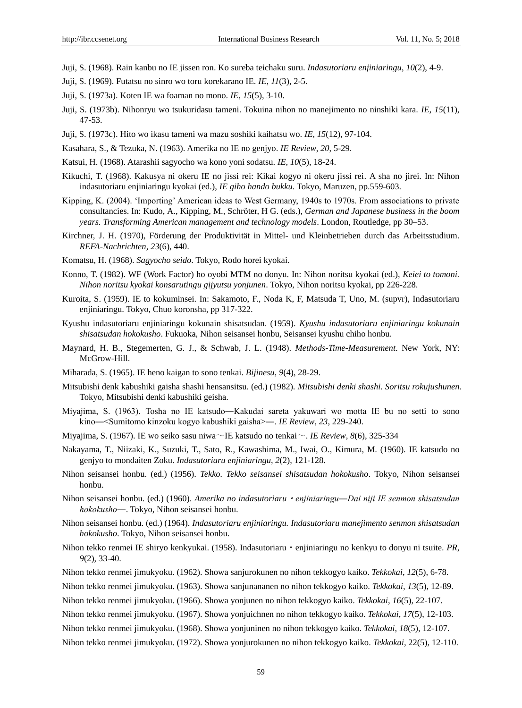- Juji, S. (1968). Rain kanbu no IE jissen ron. Ko sureba teichaku suru. *Indasutoriaru enjiniaringu*, *10*(2), 4-9.
- Juji, S. (1969). Futatsu no sinro wo toru korekarano IE. *IE*, *11*(3), 2-5.
- Juji, S. (1973a). Koten IE wa foaman no mono. *IE*, *15*(5), 3-10.
- Juji, S. (1973b). Nihonryu wo tsukuridasu tameni. Tokuina nihon no manejimento no ninshiki kara. *IE*, *15*(11), 47-53.
- Juji, S. (1973c). Hito wo ikasu tameni wa mazu soshiki kaihatsu wo. *IE*, *15*(12), 97-104.
- Kasahara, S., & Tezuka, N. (1963). Amerika no IE no genjyo. *IE Review*, *20*, 5-29.
- Katsui, H. (1968). Atarashii sagyocho wa kono yoni sodatsu. *IE*, *10*(5), 18-24.
- Kikuchi, T. (1968). Kakusya ni okeru IE no jissi rei: Kikai kogyo ni okeru jissi rei. A sha no jirei. In: Nihon indasutoriaru enjiniaringu kyokai (ed.), *IE giho hando bukku*. Tokyo, Maruzen, pp.559-603.
- Kipping, K. (2004). "Importing" American ideas to West Germany, 1940s to 1970s. From associations to private consultancies. In: Kudo, A., Kipping, M., Schröter, H G. (eds.), *German and Japanese business in the boom years. Transforming American management and technology models*. London, Routledge, pp 30–53.
- Kirchner, J. H. (1970), Förderung der Produktivität in Mittel- und Kleinbetrieben durch das Arbeitsstudium. *REFA-Nachrichten*, *23*(6), 440.
- Komatsu, H. (1968). *Sagyocho seido*. Tokyo, Rodo horei kyokai.
- Konno, T. (1982). WF (Work Factor) ho oyobi MTM no donyu. In: Nihon noritsu kyokai (ed.), *Keiei to tomoni. Nihon noritsu kyokai konsarutingu gijyutsu yonjunen*. Tokyo, Nihon noritsu kyokai, pp 226-228.
- Kuroita, S. (1959). IE to kokuminsei. In: Sakamoto, F., Noda K, F, Matsuda T, Uno, M. (supvr), Indasutoriaru enjiniaringu. Tokyo, Chuo koronsha, pp 317-322.
- Kyushu indasutoriaru enjiniaringu kokunain shisatsudan. (1959). *Kyushu indasutoriaru enjiniaringu kokunain shisatsudan hokokusho*. Fukuoka, Nihon seisansei honbu, Seisansei kyushu chiho honbu.
- Maynard, H. B., Stegemerten, G. J., & Schwab, J. L. (1948). *Methods-Time-Measurement*. New York, NY: McGrow-Hill.
- Miharada, S. (1965). IE heno kaigan to sono tenkai. *Bijinesu*, *9*(4), 28-29.
- Mitsubishi denk kabushiki gaisha shashi hensansitsu. (ed.) (1982). *Mitsubishi denki shashi. Soritsu rokujushunen*. Tokyo, Mitsubishi denki kabushiki geisha.
- Miyajima, S. (1963). Tosha no IE katsudo―Kakudai sareta yakuwari wo motta IE bu no setti to sono kino―<Sumitomo kinzoku kogyo kabushiki gaisha>―. *IE Review*, *23*, 229-240.
- Miyajima, S. (1967). IE wo seiko sasu niwa~IE katsudo no tenkai~. *IE Review*, *8*(6), 325-334
- Nakayama, T., Niizaki, K., Suzuki, T., Sato, R., Kawashima, M., Iwai, O., Kimura, M. (1960). IE katsudo no genjyo to mondaiten Zoku. *Indasutoriaru enjiniaringu*, *2*(2), 121-128.
- Nihon seisansei honbu. (ed.) (1956). *Tekko. Tekko seisansei shisatsudan hokokusho*. Tokyo, Nihon seisansei honbu.
- Nihon seisansei honbu. (ed.) (1960). *Amerika no indasutoriaru*・*enjiniaringu―Dai niji IE senmon shisatsudan hokokusho―*. Tokyo, Nihon seisansei honbu.
- Nihon seisansei honbu. (ed.) (1964). *Indasutoriaru enjiniaringu. Indasutoriaru manejimento senmon shisatsudan hokokusho*. Tokyo, Nihon seisansei honbu.
- Nihon tekko renmei IE shiryo kenkyukai. (1958). Indasutoriaru・enjiniaringu no kenkyu to donyu ni tsuite. *PR*, *9*(2), 33-40.
- Nihon tekko renmei jimukyoku. (1962). Showa sanjurokunen no nihon tekkogyo kaiko. *Tekkokai*, *12*(5), 6-78.
- Nihon tekko renmei jimukyoku. (1963). Showa sanjunananen no nihon tekkogyo kaiko. *Tekkokai*, *13*(5), 12-89.
- Nihon tekko renmei jimukyoku. (1966). Showa yonjunen no nihon tekkogyo kaiko. *Tekkokai*, *16*(5), 22-107.
- Nihon tekko renmei jimukyoku. (1967). Showa yonjuichnen no nihon tekkogyo kaiko. *Tekkokai*, *17*(5), 12-103.
- Nihon tekko renmei jimukyoku. (1968). Showa yonjuninen no nihon tekkogyo kaiko. *Tekkokai*, *18*(5), 12-107.
- Nihon tekko renmei jimukyoku. (1972). Showa yonjurokunen no nihon tekkogyo kaiko. *Tekkokai*, 22(5), 12-110.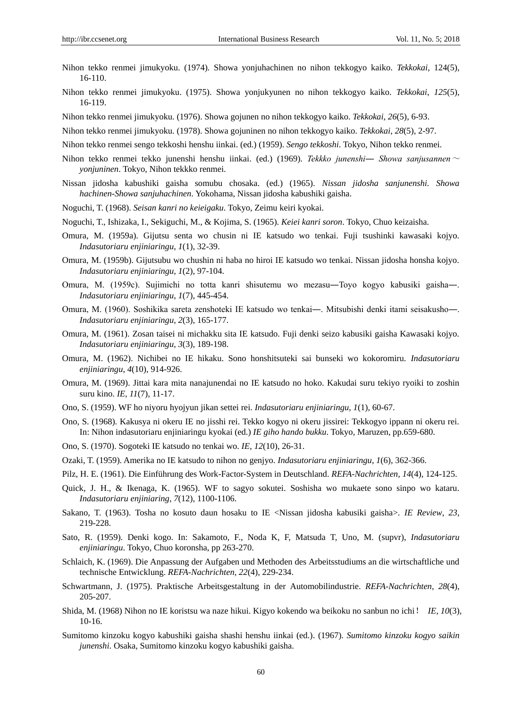- Nihon tekko renmei jimukyoku. (1974). Showa yonjuhachinen no nihon tekkogyo kaiko. *Tekkokai*, 124(5), 16-110.
- Nihon tekko renmei jimukyoku. (1975). Showa yonjukyunen no nihon tekkogyo kaiko. *Tekkokai*, *125*(5), 16-119.
- Nihon tekko renmei jimukyoku. (1976). Showa gojunen no nihon tekkogyo kaiko. *Tekkokai*, *26*(5), 6-93.
- Nihon tekko renmei jimukyoku. (1978). Showa gojuninen no nihon tekkogyo kaiko. *Tekkokai*, *28*(5), 2-97.
- Nihon tekko renmei sengo tekkoshi henshu iinkai. (ed.) (1959). *Sengo tekkoshi*. Tokyo, Nihon tekko renmei.
- Nihon tekko renmei tekko junenshi henshu iinkai. (ed.) (1969). *Tekkko junenshi― Showa sanjusannen*<sup>~</sup> *yonjuninen*. Tokyo, Nihon tekkko renmei.
- Nissan jidosha kabushiki gaisha somubu chosaka. (ed.) (1965). *Nissan jidosha sanjunenshi. Showa hachinen-Showa sanjuhachinen*. Yokohama, Nissan jidosha kabushiki gaisha.
- Noguchi, T. (1968). *Seisan kanri no keieigaku*. Tokyo, Zeimu keiri kyokai.
- Noguchi, T., Ishizaka, I., Sekiguchi, M., & Kojima, S. (1965). *Keiei kanri soron*. Tokyo, Chuo keizaisha.
- Omura, M. (1959a). Gijutsu senta wo chusin ni IE katsudo wo tenkai. Fuji tsushinki kawasaki kojyo. *Indasutoriaru enjiniaringu*, *1*(1), 32-39.
- Omura, M. (1959b). Gijutsubu wo chushin ni haba no hiroi IE katsudo wo tenkai. Nissan jidosha honsha kojyo. *Indasutoriaru enjiniaringu*, *1*(2), 97-104.
- Omura, M. (1959c). Sujimichi no totta kanri shisutemu wo mezasu―Toyo kogyo kabusiki gaisha―. *Indasutoriaru enjiniaringu*, *1*(7), 445-454.
- Omura, M. (1960). Soshikika sareta zenshoteki IE katsudo wo tenkai―. Mitsubishi denki itami seisakusho―. *Indasutoriaru enjiniaringu*, *2*(3), 165-177.
- Omura, M. (1961). Zosan taisei ni michakku sita IE katsudo. Fuji denki seizo kabusiki gaisha Kawasaki kojyo. *Indasutoriaru enjiniaringu*, *3*(3), 189-198.
- Omura, M. (1962). Nichibei no IE hikaku. Sono honshitsuteki sai bunseki wo kokoromiru. *Indasutoriaru enjiniaringu*, *4*(10), 914-926.
- Omura, M. (1969). Jittai kara mita nanajunendai no IE katsudo no hoko. Kakudai suru tekiyo ryoiki to zoshin suru kino. *IE*, *11*(7), 11-17.
- Ono, S. (1959). WF ho niyoru hyojyun jikan settei rei. *Indasutoriaru enjiniaringu*, *1*(1), 60-67.
- Ono, S. (1968). Kakusya ni okeru IE no jisshi rei. Tekko kogyo ni okeru jissirei: Tekkogyo ippann ni okeru rei. In: Nihon indasutoriaru enjiniaringu kyokai (ed.) *IE giho hando bukku*. Tokyo, Maruzen, pp.659-680.
- Ono, S. (1970). Sogoteki IE katsudo no tenkai wo. *IE*, *12*(10), 26-31.
- Ozaki, T. (1959). Amerika no IE katsudo to nihon no genjyo. *Indasutoriaru enjiniaringu*, *1*(6), 362-366.
- Pilz, H. E. (1961). Die Einführung des Work-Factor-System in Deutschland. *REFA-Nachrichten*, *14*(4), 124-125.
- Quick, J. H., & Ikenaga, K. (1965). WF to sagyo sokutei. Soshisha wo mukaete sono sinpo wo kataru. *Indasutoriaru enjiniaring*, *7*(12), 1100-1106.
- Sakano, T. (1963). Tosha no kosuto daun hosaku to IE <Nissan jidosha kabusiki gaisha>. *IE Review*, *23*, 219-228.
- Sato, R. (1959). Denki kogo. In: Sakamoto, F., Noda K, F, Matsuda T, Uno, M. (supvr), *Indasutoriaru enjiniaringu*. Tokyo, Chuo koronsha, pp 263-270.
- Schlaich, K. (1969). Die Anpassung der Aufgaben und Methoden des Arbeitsstudiums an die wirtschaftliche und technische Entwicklung. *REFA-Nachrichten*, *22*(4), 229-234.
- Schwartmann, J. (1975). Praktische Arbeitsgestaltung in der Automobilindustrie. *REFA-Nachrichten*, *28*(4), 205-207.
- Shida, M. (1968) Nihon no IE koristsu wa naze hikui. Kigyo kokendo wa beikoku no sanbun no ichi! *IE*, *10*(3), 10-16.
- Sumitomo kinzoku kogyo kabushiki gaisha shashi henshu iinkai (ed.). (1967). *Sumitomo kinzoku kogyo saikin junenshi*. Osaka, Sumitomo kinzoku kogyo kabushiki gaisha.